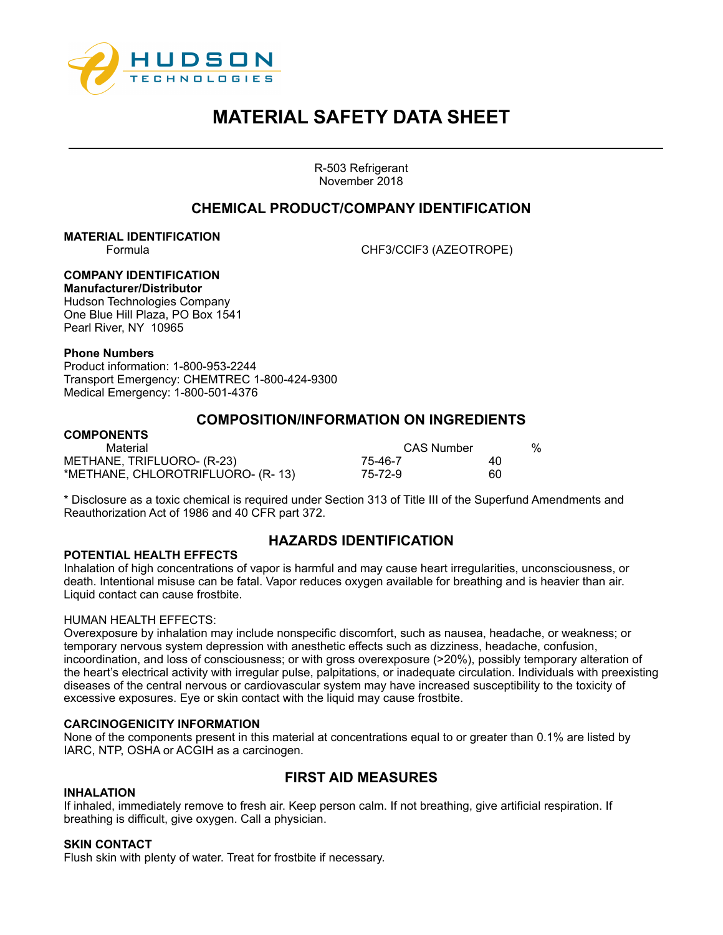

R-503 Refrigerant November 2018

## **CHEMICAL PRODUCT/COMPANY IDENTIFICATION**

**MATERIAL IDENTIFICATION**

Formula CHF3/CClF3 (AZEOTROPE)

## **COMPANY IDENTIFICATION**

**Manufacturer/Distributor**  Hudson Technologies Company One Blue Hill Plaza, PO Box 1541 Pearl River, NY 10965

### **Phone Numbers**

Product information: 1-800-953-2244 Transport Emergency: CHEMTREC 1-800-424-9300 Medical Emergency: 1-800-501-4376

## **COMPOSITION/INFORMATION ON INGREDIENTS**

## **COMPONENTS**

| Material                          | CAS Number |    | % |
|-----------------------------------|------------|----|---|
| METHANE, TRIFLUORO- (R-23)        | 75-46-7    | 40 |   |
| *METHANE, CHLOROTRIFLUORO- (R-13) | 75-72-9    | 60 |   |

\* Disclosure as a toxic chemical is required under Section 313 of Title III of the Superfund Amendments and Reauthorization Act of 1986 and 40 CFR part 372.

## **HAZARDS IDENTIFICATION**

### **POTENTIAL HEALTH EFFECTS**

Inhalation of high concentrations of vapor is harmful and may cause heart irregularities, unconsciousness, or death. Intentional misuse can be fatal. Vapor reduces oxygen available for breathing and is heavier than air. Liquid contact can cause frostbite.

### HUMAN HEALTH EFFECTS:

Overexposure by inhalation may include nonspecific discomfort, such as nausea, headache, or weakness; or temporary nervous system depression with anesthetic effects such as dizziness, headache, confusion, incoordination, and loss of consciousness; or with gross overexposure (>20%), possibly temporary alteration of the heart's electrical activity with irregular pulse, palpitations, or inadequate circulation. Individuals with preexisting diseases of the central nervous or cardiovascular system may have increased susceptibility to the toxicity of excessive exposures. Eye or skin contact with the liquid may cause frostbite.

### **CARCINOGENICITY INFORMATION**

None of the components present in this material at concentrations equal to or greater than 0.1% are listed by IARC, NTP, OSHA or ACGIH as a carcinogen.

## **FIRST AID MEASURES**

#### **INHALATION**

If inhaled, immediately remove to fresh air. Keep person calm. If not breathing, give artificial respiration. If breathing is difficult, give oxygen. Call a physician.

### **SKIN CONTACT**

Flush skin with plenty of water. Treat for frostbite if necessary.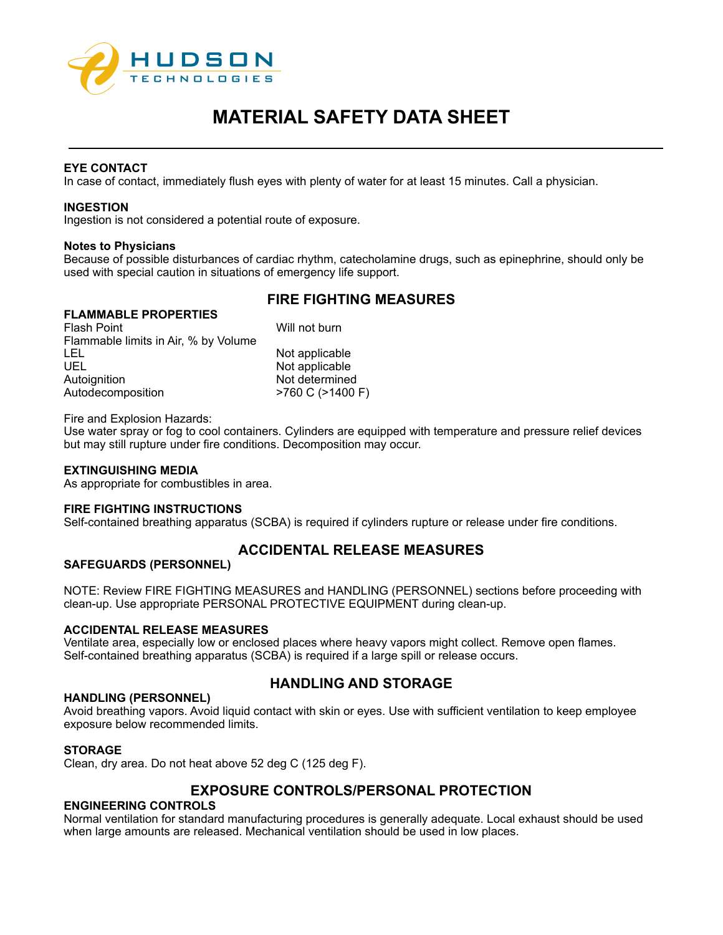

### **EYE CONTACT**

In case of contact, immediately flush eyes with plenty of water for at least 15 minutes. Call a physician.

### **INGESTION**

Ingestion is not considered a potential route of exposure.

### **Notes to Physicians**

Because of possible disturbances of cardiac rhythm, catecholamine drugs, such as epinephrine, should only be used with special caution in situations of emergency life support.

## **FIRE FIGHTING MEASURES**

## **FLAMMABLE PROPERTIES**

Flash Point No. 1 (1995) 1996 Will not burn Flammable limits in Air, % by Volume LEL Not applicable UEL Not applicable Autoignition **Not determined** Autodecomposition  $>760$  C ( $>1400$  F)

Fire and Explosion Hazards:

Use water spray or fog to cool containers. Cylinders are equipped with temperature and pressure relief devices but may still rupture under fire conditions. Decomposition may occur.

### **EXTINGUISHING MEDIA**

As appropriate for combustibles in area.

### **FIRE FIGHTING INSTRUCTIONS**

Self-contained breathing apparatus (SCBA) is required if cylinders rupture or release under fire conditions.

## **ACCIDENTAL RELEASE MEASURES**

### **SAFEGUARDS (PERSONNEL)**

NOTE: Review FIRE FIGHTING MEASURES and HANDLING (PERSONNEL) sections before proceeding with clean-up. Use appropriate PERSONAL PROTECTIVE EQUIPMENT during clean-up.

### **ACCIDENTAL RELEASE MEASURES**

Ventilate area, especially low or enclosed places where heavy vapors might collect. Remove open flames. Self-contained breathing apparatus (SCBA) is required if a large spill or release occurs.

### **HANDLING (PERSONNEL)**

## **HANDLING AND STORAGE**

Avoid breathing vapors. Avoid liquid contact with skin or eyes. Use with sufficient ventilation to keep employee exposure below recommended limits.

### **STORAGE**

Clean, dry area. Do not heat above 52 deg C (125 deg F).

## **EXPOSURE CONTROLS/PERSONAL PROTECTION**

### **ENGINEERING CONTROLS**

Normal ventilation for standard manufacturing procedures is generally adequate. Local exhaust should be used when large amounts are released. Mechanical ventilation should be used in low places.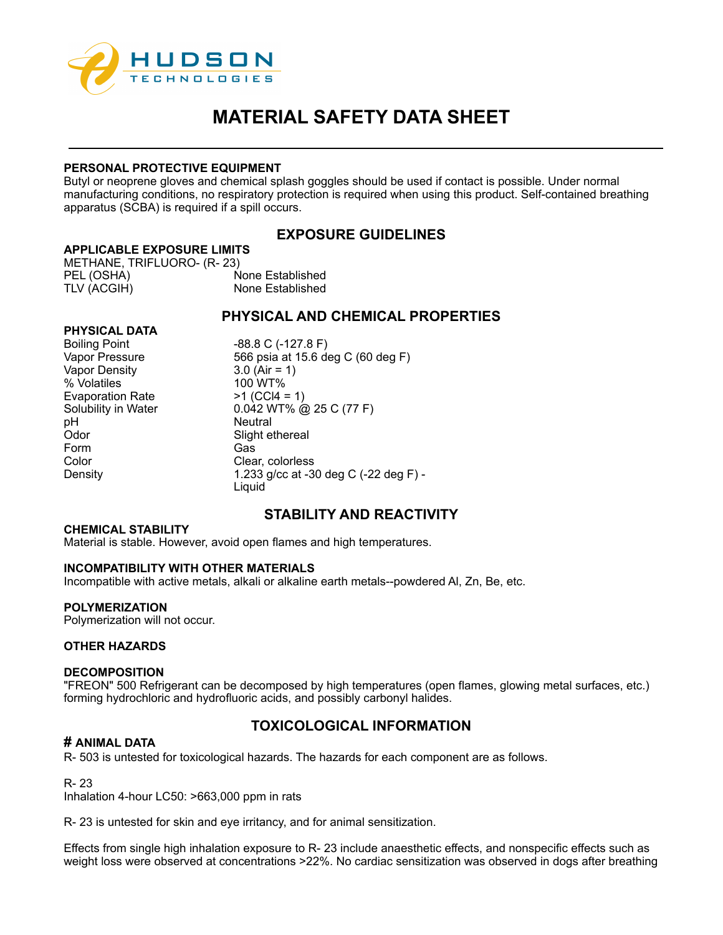

### **PERSONAL PROTECTIVE EQUIPMENT**

Butyl or neoprene gloves and chemical splash goggles should be used if contact is possible. Under normal manufacturing conditions, no respiratory protection is required when using this product. Self-contained breathing apparatus (SCBA) is required if a spill occurs.

## **EXPOSURE GUIDELINES**

### **APPLICABLE EXPOSURE LIMITS**

METHANE, TRIFLUORO- (R- 23) PEL (OSHA) None Established TLV (ACGIH) None Established

## **PHYSICAL AND CHEMICAL PROPERTIES**

| <b>PHYSICAL DATA</b>    |                                       |
|-------------------------|---------------------------------------|
| <b>Boiling Point</b>    | $-88.8$ C ( $-127.8$ F)               |
| Vapor Pressure          | 566 psia at 15.6 deg C (60 deg F)     |
| <b>Vapor Density</b>    | $3.0$ (Air = 1)                       |
| % Volatiles             | 100 WT%                               |
| <b>Evaporation Rate</b> | $>1$ (CCl4 = 1)                       |
| Solubility in Water     | $0.042$ WT% @ 25 C (77 F)             |
| pH                      | <b>Neutral</b>                        |
| Odor                    | Slight ethereal                       |
| Form                    | Gas                                   |
| Color                   | Clear, colorless                      |
| Density                 | 1.233 g/cc at -30 deg C (-22 deg F) - |
|                         | Liguid                                |

# **STABILITY AND REACTIVITY**

### **CHEMICAL STABILITY**

Material is stable. However, avoid open flames and high temperatures.

### **INCOMPATIBILITY WITH OTHER MATERIALS**

Incompatible with active metals, alkali or alkaline earth metals--powdered Al, Zn, Be, etc.

### **POLYMERIZATION**

Polymerization will not occur.

### **OTHER HAZARDS**

### **DECOMPOSITION**

"FREON" 500 Refrigerant can be decomposed by high temperatures (open flames, glowing metal surfaces, etc.) forming hydrochloric and hydrofluoric acids, and possibly carbonyl halides.

## **TOXICOLOGICAL INFORMATION**

### **# ANIMAL DATA**

R- 503 is untested for toxicological hazards. The hazards for each component are as follows.

### R- 23

Inhalation 4-hour LC50: >663,000 ppm in rats

R- 23 is untested for skin and eye irritancy, and for animal sensitization.

Effects from single high inhalation exposure to R- 23 include anaesthetic effects, and nonspecific effects such as weight loss were observed at concentrations >22%. No cardiac sensitization was observed in dogs after breathing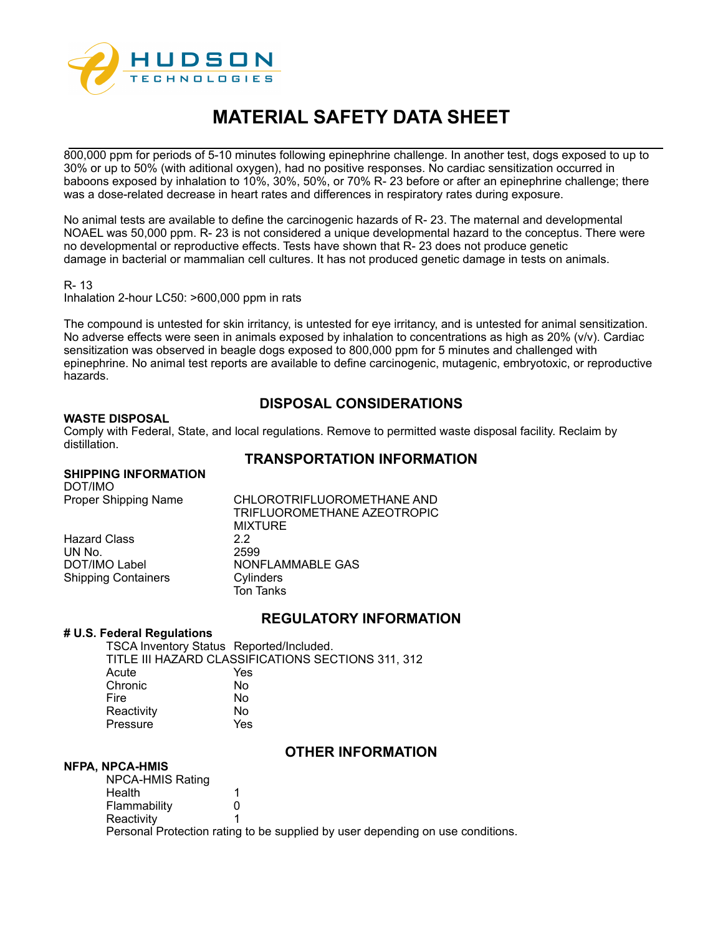

800,000 ppm for periods of 5-10 minutes following epinephrine challenge. In another test, dogs exposed to up to 30% or up to 50% (with aditional oxygen), had no positive responses. No cardiac sensitization occurred in baboons exposed by inhalation to 10%, 30%, 50%, or 70% R- 23 before or after an epinephrine challenge; there was a dose-related decrease in heart rates and differences in respiratory rates during exposure.

No animal tests are available to define the carcinogenic hazards of R- 23. The maternal and developmental NOAEL was 50,000 ppm. R- 23 is not considered a unique developmental hazard to the conceptus. There were no developmental or reproductive effects. Tests have shown that R- 23 does not produce genetic damage in bacterial or mammalian cell cultures. It has not produced genetic damage in tests on animals.

#### R- 13

Inhalation 2-hour LC50: >600,000 ppm in rats

The compound is untested for skin irritancy, is untested for eye irritancy, and is untested for animal sensitization. No adverse effects were seen in animals exposed by inhalation to concentrations as high as 20% (v/v). Cardiac sensitization was observed in beagle dogs exposed to 800,000 ppm for 5 minutes and challenged with epinephrine. No animal test reports are available to define carcinogenic, mutagenic, embryotoxic, or reproductive hazards.

## **DISPOSAL CONSIDERATIONS**

### **WASTE DISPOSAL**

Comply with Federal, State, and local regulations. Remove to permitted waste disposal facility. Reclaim by distillation.

## **TRANSPORTATION INFORMATION**

### **SHIPPING INFORMATION**

DOT/IMO<br>Proper Shipping Name

Shipping Containers

CHLOROTRIFLUOROMETHANE AND TRIFLUOROMETHANE AZEOTROPIC **MIXTURE** Hazard Class 2.2 UN No. 2599 NONFLAMMABLE GAS<br>Cylinders Ton Tanks

## **REGULATORY INFORMATION**

#### **# U.S. Federal Regulations**

TSCA Inventory Status Reported/Included. TITLE III HAZARD CLASSIFICATIONS SECTIONS 311, 312 Acute Yes Chronic No Fire No Reactivity No Pressure Yes

### **OTHER INFORMATION**

### **NFPA, NPCA-HMIS**

NPCA-HMIS Rating Health 1<br>Flammability 0 **Flammability** Reactivity 1 Personal Protection rating to be supplied by user depending on use conditions.